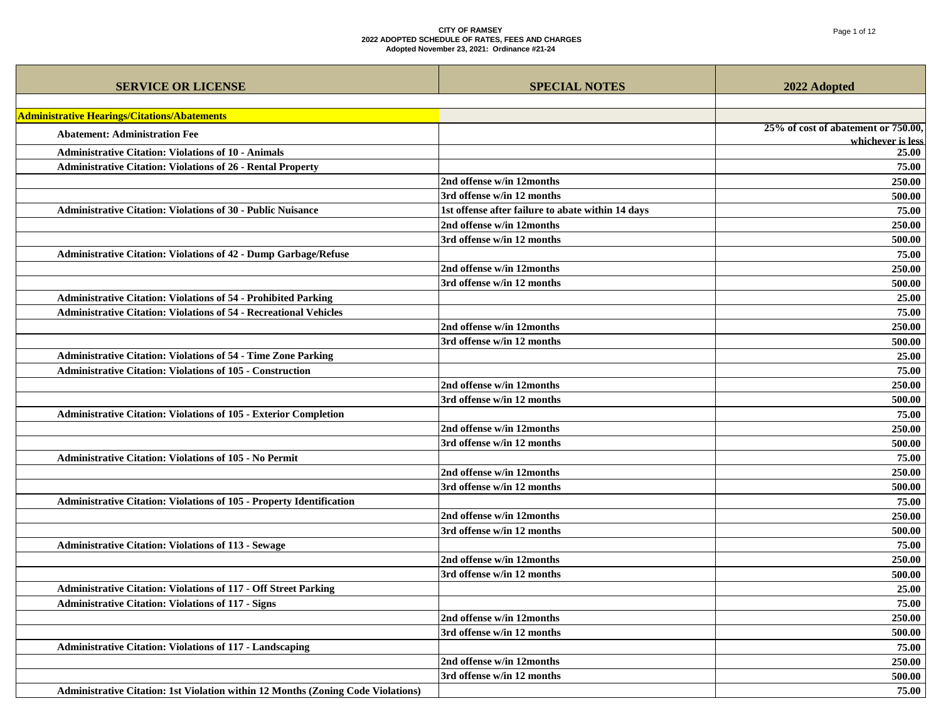| <b>SERVICE OR LICENSE</b>                                                               | <b>SPECIAL NOTES</b>                              | 2022 Adopted                        |
|-----------------------------------------------------------------------------------------|---------------------------------------------------|-------------------------------------|
| <b>Administrative Hearings/Citations/Abatements</b>                                     |                                                   |                                     |
| <b>Abatement: Administration Fee</b>                                                    |                                                   | 25% of cost of abatement or 750.00, |
| <b>Administrative Citation: Violations of 10 - Animals</b>                              |                                                   | whichever is less<br>25.00          |
| <b>Administrative Citation: Violations of 26 - Rental Property</b>                      |                                                   | 75.00                               |
|                                                                                         | 2nd offense w/in 12months                         | 250.00                              |
|                                                                                         | 3rd offense w/in 12 months                        | 500.00                              |
| <b>Administrative Citation: Violations of 30 - Public Nuisance</b>                      | 1st offense after failure to abate within 14 days | 75.00                               |
|                                                                                         | 2nd offense w/in 12months                         | 250.00                              |
|                                                                                         | 3rd offense w/in 12 months                        | 500.00                              |
| <b>Administrative Citation: Violations of 42 - Dump Garbage/Refuse</b>                  |                                                   | 75.00                               |
|                                                                                         | 2nd offense w/in 12months                         | 250.00                              |
|                                                                                         | 3rd offense w/in 12 months                        | 500.00                              |
| <b>Administrative Citation: Violations of 54 - Prohibited Parking</b>                   |                                                   | 25.00                               |
| <b>Administrative Citation: Violations of 54 - Recreational Vehicles</b>                |                                                   | 75.00                               |
|                                                                                         | 2nd offense w/in 12months                         | 250.00                              |
|                                                                                         | 3rd offense w/in 12 months                        | 500.00                              |
| <b>Administrative Citation: Violations of 54 - Time Zone Parking</b>                    |                                                   | 25.00                               |
| <b>Administrative Citation: Violations of 105 - Construction</b>                        |                                                   | 75.00                               |
|                                                                                         | 2nd offense w/in 12months                         | 250.00                              |
|                                                                                         | 3rd offense w/in 12 months                        | 500.00                              |
| Administrative Citation: Violations of 105 - Exterior Completion                        |                                                   | 75.00                               |
|                                                                                         | 2nd offense w/in 12months                         | 250.00                              |
|                                                                                         | 3rd offense w/in 12 months                        | 500.00                              |
| <b>Administrative Citation: Violations of 105 - No Permit</b>                           |                                                   | 75.00                               |
|                                                                                         | 2nd offense w/in 12months                         | 250.00                              |
|                                                                                         | 3rd offense w/in 12 months                        | 500.00                              |
| Administrative Citation: Violations of 105 - Property Identification                    |                                                   | 75.00                               |
|                                                                                         | 2nd offense w/in 12months                         | 250.00                              |
|                                                                                         | 3rd offense w/in 12 months                        | 500.00                              |
| <b>Administrative Citation: Violations of 113 - Sewage</b>                              |                                                   | 75.00                               |
|                                                                                         | 2nd offense w/in 12months                         | 250.00                              |
|                                                                                         | 3rd offense w/in 12 months                        | 500.00                              |
| <b>Administrative Citation: Violations of 117 - Off Street Parking</b>                  |                                                   | 25.00                               |
| <b>Administrative Citation: Violations of 117 - Signs</b>                               |                                                   | 75.00                               |
|                                                                                         | 2nd offense w/in 12months                         | 250.00                              |
|                                                                                         | 3rd offense w/in 12 months                        | 500.00                              |
| <b>Administrative Citation: Violations of 117 - Landscaping</b>                         |                                                   | 75.00                               |
|                                                                                         | 2nd offense w/in 12months                         | 250.00                              |
|                                                                                         | 3rd offense w/in 12 months                        | 500.00                              |
| <b>Administrative Citation: 1st Violation within 12 Months (Zoning Code Violations)</b> |                                                   | 75.00                               |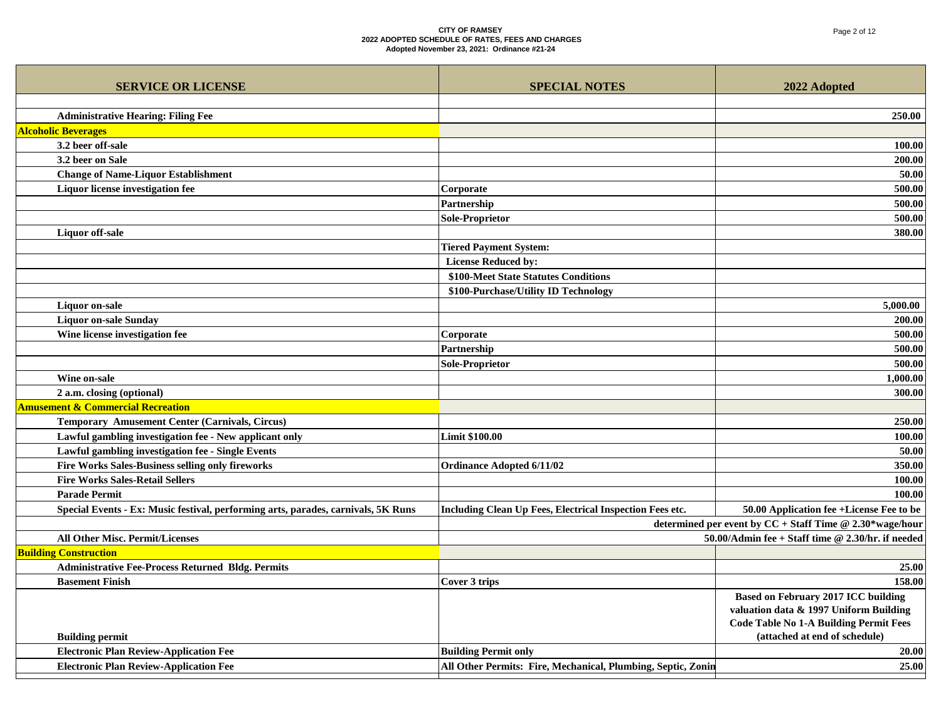| <b>SERVICE OR LICENSE</b>                                                         | <b>SPECIAL NOTES</b>                                         | 2022 Adopted                                             |
|-----------------------------------------------------------------------------------|--------------------------------------------------------------|----------------------------------------------------------|
|                                                                                   |                                                              |                                                          |
| <b>Administrative Hearing: Filing Fee</b>                                         |                                                              | 250.00                                                   |
| <b>Alcoholic Beverages</b>                                                        |                                                              |                                                          |
| 3.2 beer off-sale                                                                 |                                                              | 100.00                                                   |
| 3.2 beer on Sale                                                                  |                                                              | 200.00                                                   |
| <b>Change of Name-Liquor Establishment</b>                                        |                                                              | 50.00                                                    |
| Liquor license investigation fee                                                  | Corporate                                                    | 500.00                                                   |
|                                                                                   | Partnership                                                  | 500.00                                                   |
|                                                                                   | <b>Sole-Proprietor</b>                                       | 500.00                                                   |
| <b>Liquor</b> off-sale                                                            |                                                              | 380.00                                                   |
|                                                                                   | <b>Tiered Payment System:</b>                                |                                                          |
|                                                                                   | <b>License Reduced by:</b>                                   |                                                          |
|                                                                                   | \$100-Meet State Statutes Conditions                         |                                                          |
|                                                                                   | \$100-Purchase/Utility ID Technology                         |                                                          |
| <b>Liquor</b> on-sale                                                             |                                                              | 5,000.00                                                 |
| <b>Liquor on-sale Sunday</b>                                                      |                                                              | 200.00                                                   |
| Wine license investigation fee                                                    | Corporate                                                    | 500.00                                                   |
|                                                                                   | Partnership                                                  | 500.00                                                   |
|                                                                                   | <b>Sole-Proprietor</b>                                       | 500.00                                                   |
| Wine on-sale                                                                      |                                                              | 1,000.00                                                 |
| 2 a.m. closing (optional)                                                         |                                                              | 300.00                                                   |
| <b>Amusement &amp; Commercial Recreation</b>                                      |                                                              |                                                          |
| <b>Temporary Amusement Center (Carnivals, Circus)</b>                             |                                                              | 250.00                                                   |
| Lawful gambling investigation fee - New applicant only                            | <b>Limit \$100.00</b>                                        | 100.00                                                   |
| Lawful gambling investigation fee - Single Events                                 |                                                              | 50.00                                                    |
| <b>Fire Works Sales-Business selling only fireworks</b>                           | <b>Ordinance Adopted 6/11/02</b>                             | 350.00                                                   |
| <b>Fire Works Sales-Retail Sellers</b>                                            |                                                              | 100.00                                                   |
| <b>Parade Permit</b>                                                              |                                                              | 100.00                                                   |
| Special Events - Ex: Music festival, performing arts, parades, carnivals, 5K Runs | Including Clean Up Fees, Electrical Inspection Fees etc.     | 50.00 Application fee +License Fee to be                 |
|                                                                                   |                                                              | determined per event by CC + Staff Time @ 2.30*wage/hour |
| All Other Misc. Permit/Licenses                                                   |                                                              | 50.00/Admin fee + Staff time @ 2.30/hr. if needed        |
| <b>Building Construction</b>                                                      |                                                              |                                                          |
| <b>Administrative Fee-Process Returned Bldg. Permits</b>                          |                                                              | 25.00                                                    |
| <b>Basement Finish</b>                                                            | Cover 3 trips                                                | 158.00                                                   |
|                                                                                   |                                                              | <b>Based on February 2017 ICC building</b>               |
|                                                                                   |                                                              | valuation data & 1997 Uniform Building                   |
|                                                                                   |                                                              | <b>Code Table No 1-A Building Permit Fees</b>            |
| <b>Building permit</b>                                                            |                                                              | (attached at end of schedule)                            |
| <b>Electronic Plan Review-Application Fee</b>                                     | <b>Building Permit only</b>                                  | 20.00                                                    |
| <b>Electronic Plan Review-Application Fee</b>                                     | All Other Permits: Fire, Mechanical, Plumbing, Septic, Zonin | 25.00                                                    |
|                                                                                   |                                                              |                                                          |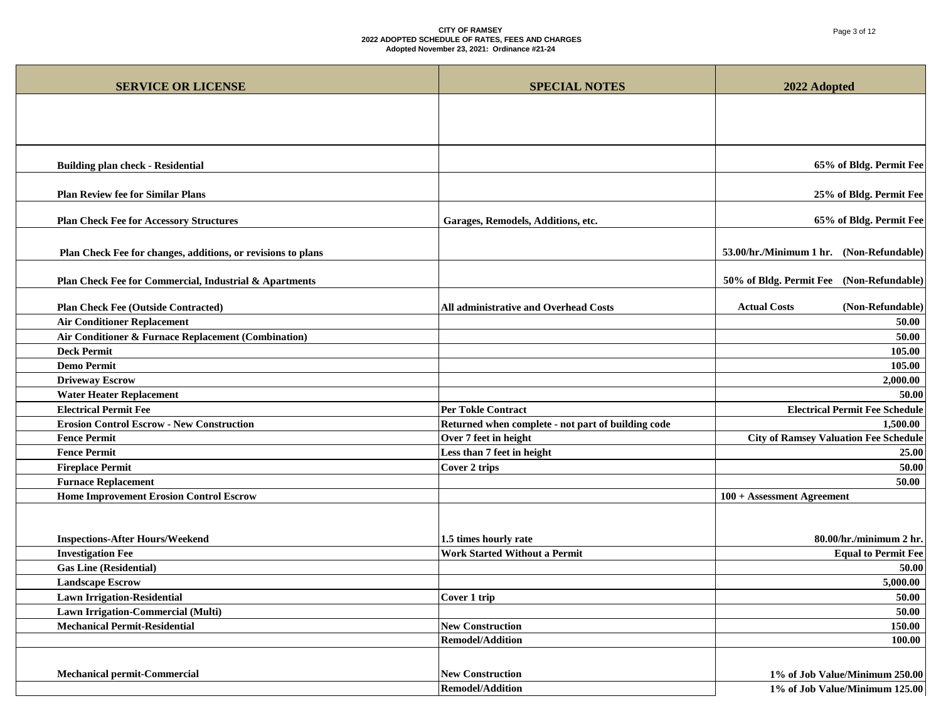# Page 3 of 12

| <b>SERVICE OR LICENSE</b>                                    | <b>SPECIAL NOTES</b>                               | 2022 Adopted                                 |
|--------------------------------------------------------------|----------------------------------------------------|----------------------------------------------|
|                                                              |                                                    |                                              |
|                                                              |                                                    |                                              |
|                                                              |                                                    |                                              |
|                                                              |                                                    |                                              |
| <b>Building plan check - Residential</b>                     |                                                    | 65% of Bldg. Permit Fee                      |
| <b>Plan Review fee for Similar Plans</b>                     |                                                    | 25% of Bldg. Permit Fee                      |
| <b>Plan Check Fee for Accessory Structures</b>               | Garages, Remodels, Additions, etc.                 | 65% of Bldg. Permit Fee                      |
| Plan Check Fee for changes, additions, or revisions to plans |                                                    | 53.00/hr./Minimum 1 hr. (Non-Refundable)     |
|                                                              |                                                    |                                              |
| Plan Check Fee for Commercial, Industrial & Apartments       |                                                    | 50% of Bldg. Permit Fee (Non-Refundable)     |
|                                                              |                                                    |                                              |
| <b>Plan Check Fee (Outside Contracted)</b>                   | All administrative and Overhead Costs              | <b>Actual Costs</b><br>(Non-Refundable)      |
| <b>Air Conditioner Replacement</b>                           |                                                    | 50.00                                        |
| Air Conditioner & Furnace Replacement (Combination)          |                                                    | 50.00                                        |
| <b>Deck Permit</b>                                           |                                                    | 105.00                                       |
| <b>Demo Permit</b>                                           |                                                    | 105.00                                       |
| <b>Driveway Escrow</b>                                       |                                                    | 2,000.00                                     |
| <b>Water Heater Replacement</b>                              |                                                    | 50.00                                        |
| <b>Electrical Permit Fee</b>                                 | <b>Per Tokle Contract</b>                          | <b>Electrical Permit Fee Schedule</b>        |
| <b>Erosion Control Escrow - New Construction</b>             | Returned when complete - not part of building code | 1,500.00                                     |
| <b>Fence Permit</b>                                          | Over 7 feet in height                              | <b>City of Ramsey Valuation Fee Schedule</b> |
| <b>Fence Permit</b>                                          | Less than 7 feet in height                         | 25.00                                        |
| <b>Fireplace Permit</b>                                      | <b>Cover 2 trips</b>                               | 50.00                                        |
| <b>Furnace Replacement</b>                                   |                                                    | 50.00                                        |
| <b>Home Improvement Erosion Control Escrow</b>               |                                                    | 100 + Assessment Agreement                   |
|                                                              |                                                    |                                              |
| <b>Inspections-After Hours/Weekend</b>                       | 1.5 times hourly rate                              | 80.00/hr./minimum 2 hr.                      |
| <b>Investigation Fee</b>                                     | <b>Work Started Without a Permit</b>               | <b>Equal to Permit Fee</b>                   |
| <b>Gas Line (Residential)</b>                                |                                                    | 50.00                                        |
| <b>Landscape Escrow</b>                                      |                                                    | 5,000.00                                     |
| <b>Lawn Irrigation-Residential</b>                           | Cover 1 trip                                       | 50.00                                        |
| Lawn Irrigation-Commercial (Multi)                           |                                                    | 50.00                                        |
| <b>Mechanical Permit-Residential</b>                         | <b>New Construction</b>                            | 150.00                                       |
|                                                              | <b>Remodel/Addition</b>                            | 100.00                                       |
|                                                              |                                                    |                                              |
| Mechanical permit-Commercial                                 | <b>New Construction</b>                            | 1% of Job Value/Minimum 250.00               |
|                                                              | <b>Remodel/Addition</b>                            | 1% of Job Value/Minimum 125.00               |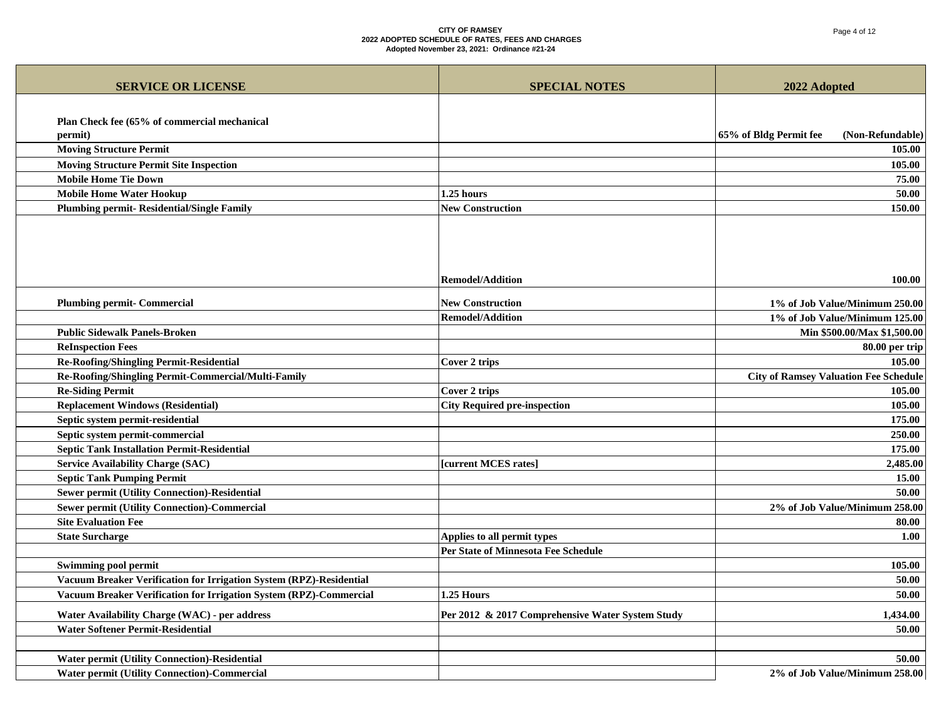# Page 4 of 12

| <b>SERVICE OR LICENSE</b>                                           | <b>SPECIAL NOTES</b>                             | 2022 Adopted                                 |
|---------------------------------------------------------------------|--------------------------------------------------|----------------------------------------------|
|                                                                     |                                                  |                                              |
| Plan Check fee (65% of commercial mechanical                        |                                                  |                                              |
| permit)                                                             |                                                  | 65% of Bldg Permit fee<br>(Non-Refundable)   |
| <b>Moving Structure Permit</b>                                      |                                                  | 105.00                                       |
| <b>Moving Structure Permit Site Inspection</b>                      |                                                  | 105.00                                       |
| <b>Mobile Home Tie Down</b>                                         |                                                  | 75.00                                        |
| <b>Mobile Home Water Hookup</b>                                     | 1.25 hours                                       | 50.00                                        |
| <b>Plumbing permit- Residential/Single Family</b>                   | <b>New Construction</b>                          | 150.00                                       |
|                                                                     |                                                  |                                              |
|                                                                     |                                                  |                                              |
|                                                                     |                                                  |                                              |
|                                                                     |                                                  |                                              |
|                                                                     | <b>Remodel/Addition</b>                          | 100.00                                       |
|                                                                     |                                                  |                                              |
| <b>Plumbing permit- Commercial</b>                                  | <b>New Construction</b>                          | 1% of Job Value/Minimum 250.00               |
|                                                                     | <b>Remodel/Addition</b>                          | 1% of Job Value/Minimum 125.00               |
| <b>Public Sidewalk Panels-Broken</b>                                |                                                  | Min \$500.00/Max \$1,500.00                  |
| <b>ReInspection Fees</b>                                            |                                                  | 80.00 per trip                               |
| <b>Re-Roofing/Shingling Permit-Residential</b>                      | Cover 2 trips                                    | 105.00                                       |
| Re-Roofing/Shingling Permit-Commercial/Multi-Family                 |                                                  | <b>City of Ramsey Valuation Fee Schedule</b> |
| <b>Re-Siding Permit</b>                                             | <b>Cover 2 trips</b>                             | 105.00                                       |
| <b>Replacement Windows (Residential)</b>                            | <b>City Required pre-inspection</b>              | 105.00                                       |
| Septic system permit-residential                                    |                                                  | 175.00                                       |
| Septic system permit-commercial                                     |                                                  | 250.00                                       |
| <b>Septic Tank Installation Permit-Residential</b>                  |                                                  | 175.00                                       |
| <b>Service Availability Charge (SAC)</b>                            | [current MCES rates]                             | 2,485.00                                     |
| <b>Septic Tank Pumping Permit</b>                                   |                                                  | 15.00                                        |
| <b>Sewer permit (Utility Connection)-Residential</b>                |                                                  | 50.00                                        |
| <b>Sewer permit (Utility Connection)-Commercial</b>                 |                                                  | 2% of Job Value/Minimum 258.00               |
| <b>Site Evaluation Fee</b>                                          |                                                  | 80.00                                        |
| <b>State Surcharge</b>                                              | Applies to all permit types                      | 1.00                                         |
|                                                                     | <b>Per State of Minnesota Fee Schedule</b>       |                                              |
| <b>Swimming pool permit</b>                                         |                                                  | 105.00                                       |
| Vacuum Breaker Verification for Irrigation System (RPZ)-Residential |                                                  | 50.00                                        |
| Vacuum Breaker Verification for Irrigation System (RPZ)-Commercial  | 1.25 Hours                                       | 50.00                                        |
| Water Availability Charge (WAC) - per address                       | Per 2012 & 2017 Comprehensive Water System Study | 1,434.00                                     |
| <b>Water Softener Permit-Residential</b>                            |                                                  | 50.00                                        |
|                                                                     |                                                  |                                              |
| Water permit (Utility Connection)-Residential                       |                                                  | 50.00                                        |
| <b>Water permit (Utility Connection)-Commercial</b>                 |                                                  | 2% of Job Value/Minimum 258.00               |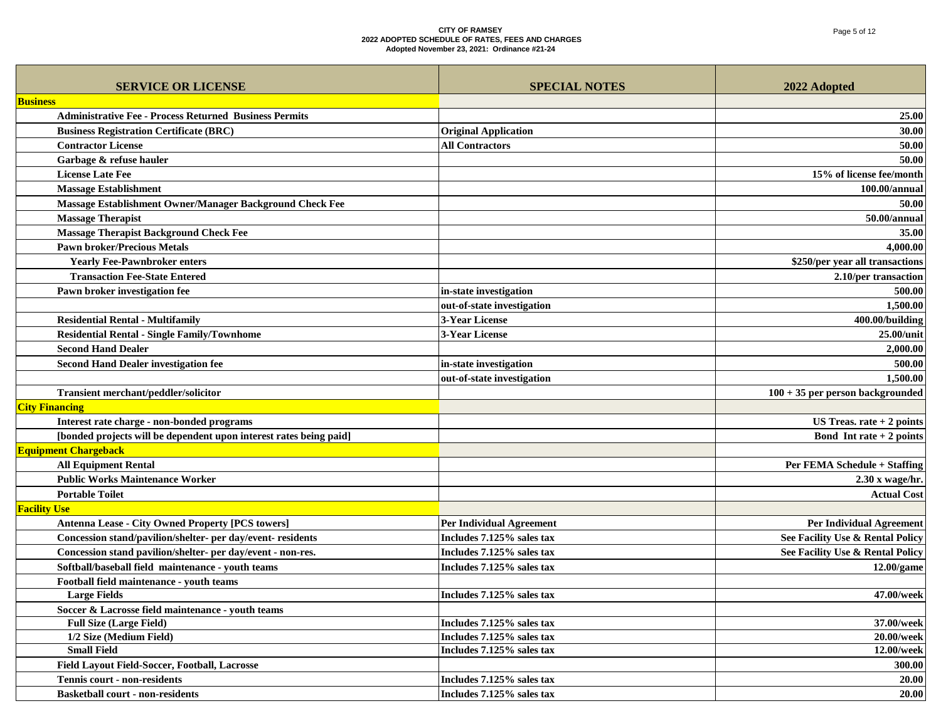| <b>SERVICE OR LICENSE</b>                                          | <b>SPECIAL NOTES</b>            | 2022 Adopted                       |
|--------------------------------------------------------------------|---------------------------------|------------------------------------|
| <b>Business</b>                                                    |                                 |                                    |
| <b>Administrative Fee - Process Returned Business Permits</b>      |                                 | 25.00                              |
| <b>Business Registration Certificate (BRC)</b>                     | <b>Original Application</b>     | 30.00                              |
| <b>Contractor License</b>                                          | <b>All Contractors</b>          | 50.00                              |
| Garbage & refuse hauler                                            |                                 | 50.00                              |
| <b>License Late Fee</b>                                            |                                 | 15% of license fee/month           |
| <b>Massage Establishment</b>                                       |                                 | 100.00/annual                      |
| Massage Establishment Owner/Manager Background Check Fee           |                                 | 50.00                              |
| <b>Massage Therapist</b>                                           |                                 | 50.00/annual                       |
| <b>Massage Therapist Background Check Fee</b>                      |                                 | 35.00                              |
| <b>Pawn broker/Precious Metals</b>                                 |                                 | 4,000.00                           |
| <b>Yearly Fee-Pawnbroker enters</b>                                |                                 | \$250/per year all transactions    |
| <b>Transaction Fee-State Entered</b>                               |                                 | 2.10/per transaction               |
| Pawn broker investigation fee                                      | in-state investigation          | 500.00                             |
|                                                                    | out-of-state investigation      | 1,500.00                           |
| <b>Residential Rental - Multifamily</b>                            | <b>3-Year License</b>           | 400.00/building                    |
| <b>Residential Rental - Single Family/Townhome</b>                 | 3-Year License                  | 25.00/unit                         |
| <b>Second Hand Dealer</b>                                          |                                 | 2,000.00                           |
| <b>Second Hand Dealer investigation fee</b>                        | in-state investigation          | 500.00                             |
|                                                                    | out-of-state investigation      | 1,500.00                           |
| Transient merchant/peddler/solicitor                               |                                 | $100 + 35$ per person backgrounded |
| <b>City Financing</b>                                              |                                 |                                    |
| Interest rate charge - non-bonded programs                         |                                 | US Treas. $rate + 2 points$        |
| [bonded projects will be dependent upon interest rates being paid] |                                 | Bond Intrate $+2$ points           |
| <b>Equipment Chargeback</b>                                        |                                 |                                    |
| <b>All Equipment Rental</b>                                        |                                 | Per FEMA Schedule + Staffing       |
| <b>Public Works Maintenance Worker</b>                             |                                 | $2.30 x$ wage/hr.                  |
| <b>Portable Toilet</b>                                             |                                 | <b>Actual Cost</b>                 |
| <b>Facility Use</b>                                                |                                 |                                    |
| <b>Antenna Lease - City Owned Property [PCS towers]</b>            | <b>Per Individual Agreement</b> | <b>Per Individual Agreement</b>    |
| Concession stand/pavilion/shelter- per day/event- residents        | Includes 7.125% sales tax       | See Facility Use & Rental Policy   |
| Concession stand pavilion/shelter- per day/event - non-res.        | Includes 7.125% sales tax       | See Facility Use & Rental Policy   |
| Softball/baseball field maintenance - youth teams                  | Includes 7.125% sales tax       | $12.00$ /game                      |
| Football field maintenance - youth teams                           |                                 |                                    |
| <b>Large Fields</b>                                                | Includes 7.125% sales tax       | 47.00/week                         |
| Soccer & Lacrosse field maintenance - youth teams                  |                                 |                                    |
| <b>Full Size (Large Field)</b>                                     | Includes 7.125% sales tax       | 37.00/week                         |
| 1/2 Size (Medium Field)                                            | Includes 7.125% sales tax       | 20.00/week                         |
| <b>Small Field</b>                                                 | Includes 7.125% sales tax       | 12.00/week                         |
| Field Layout Field-Soccer, Football, Lacrosse                      |                                 | 300.00                             |
| <b>Tennis court - non-residents</b>                                | Includes 7.125% sales tax       | 20.00                              |
| <b>Basketball court - non-residents</b>                            | Includes 7.125% sales tax       | 20.00                              |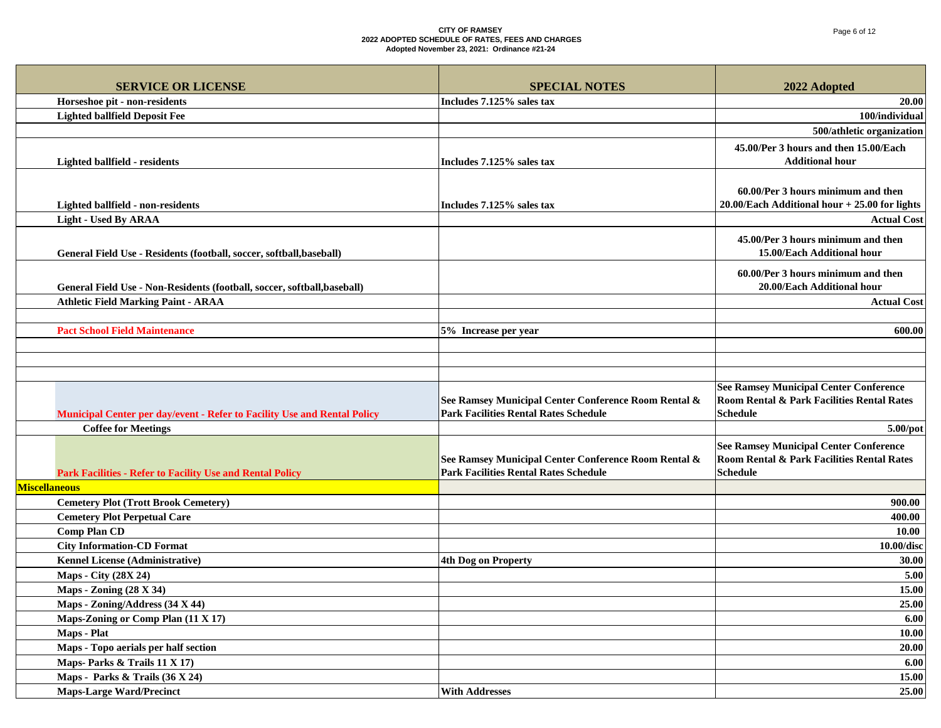| <b>SERVICE OR LICENSE</b>                                                | <b>SPECIAL NOTES</b>                                                                                 | 2022 Adopted                                                                                                   |
|--------------------------------------------------------------------------|------------------------------------------------------------------------------------------------------|----------------------------------------------------------------------------------------------------------------|
| Horseshoe pit - non-residents                                            | Includes 7.125% sales tax                                                                            | 20.00                                                                                                          |
| <b>Lighted ballfield Deposit Fee</b>                                     |                                                                                                      | 100/individual                                                                                                 |
|                                                                          |                                                                                                      | 500/athletic organization                                                                                      |
| Lighted ballfield - residents                                            | Includes 7.125% sales tax                                                                            | 45.00/Per 3 hours and then 15.00/Each<br><b>Additional hour</b>                                                |
| Lighted ballfield - non-residents                                        | Includes 7.125% sales tax                                                                            | 60.00/Per 3 hours minimum and then<br>$20.00$ /Each Additional hour + 25.00 for lights                         |
| Light - Used By ARAA                                                     |                                                                                                      | <b>Actual Cost</b>                                                                                             |
| General Field Use - Residents (football, soccer, softball, baseball)     |                                                                                                      | 45.00/Per 3 hours minimum and then<br>15.00/Each Additional hour                                               |
| General Field Use - Non-Residents (football, soccer, softball, baseball) |                                                                                                      | 60.00/Per 3 hours minimum and then<br>20.00/Each Additional hour                                               |
| <b>Athletic Field Marking Paint - ARAA</b>                               |                                                                                                      | <b>Actual Cost</b>                                                                                             |
|                                                                          |                                                                                                      |                                                                                                                |
| <b>Pact School Field Maintenance</b>                                     | 5% Increase per year                                                                                 | 600.00                                                                                                         |
|                                                                          |                                                                                                      |                                                                                                                |
|                                                                          |                                                                                                      |                                                                                                                |
|                                                                          |                                                                                                      |                                                                                                                |
| Municipal Center per day/event - Refer to Facility Use and Rental Policy | See Ramsey Municipal Center Conference Room Rental &<br><b>Park Facilities Rental Rates Schedule</b> | <b>See Ramsey Municipal Center Conference</b><br>Room Rental & Park Facilities Rental Rates<br><b>Schedule</b> |
| <b>Coffee for Meetings</b>                                               |                                                                                                      | 5.00/pot                                                                                                       |
| <b>Park Facilities - Refer to Facility Use and Rental Policy</b>         | See Ramsey Municipal Center Conference Room Rental &<br><b>Park Facilities Rental Rates Schedule</b> | <b>See Ramsey Municipal Center Conference</b><br>Room Rental & Park Facilities Rental Rates<br><b>Schedule</b> |
| <b>Miscellaneous</b>                                                     |                                                                                                      |                                                                                                                |
| <b>Cemetery Plot (Trott Brook Cemetery)</b>                              |                                                                                                      | 900.00                                                                                                         |
| <b>Cemetery Plot Perpetual Care</b>                                      |                                                                                                      | 400.00                                                                                                         |
| <b>Comp Plan CD</b>                                                      |                                                                                                      | 10.00                                                                                                          |
| <b>City Information-CD Format</b>                                        |                                                                                                      | 10.00/disc                                                                                                     |
| <b>Kennel License (Administrative)</b>                                   | <b>4th Dog on Property</b>                                                                           | 30.00                                                                                                          |
| Maps - City (28X 24)                                                     |                                                                                                      | 5.00                                                                                                           |
| <b>Maps - Zoning (28 X 34)</b>                                           |                                                                                                      | 15.00                                                                                                          |
| Maps - Zoning/Address (34 X 44)                                          |                                                                                                      | 25.00                                                                                                          |
| Maps-Zoning or Comp Plan (11 X 17)                                       |                                                                                                      | 6.00                                                                                                           |
| Maps - Plat                                                              |                                                                                                      | 10.00                                                                                                          |
| Maps - Topo aerials per half section                                     |                                                                                                      | 20.00                                                                                                          |
| Maps-Parks & Trails 11 X 17)                                             |                                                                                                      | 6.00                                                                                                           |
| Maps - Parks & Trails (36 X 24)                                          |                                                                                                      | 15.00                                                                                                          |
| <b>Maps-Large Ward/Precinct</b>                                          | <b>With Addresses</b>                                                                                | 25.00                                                                                                          |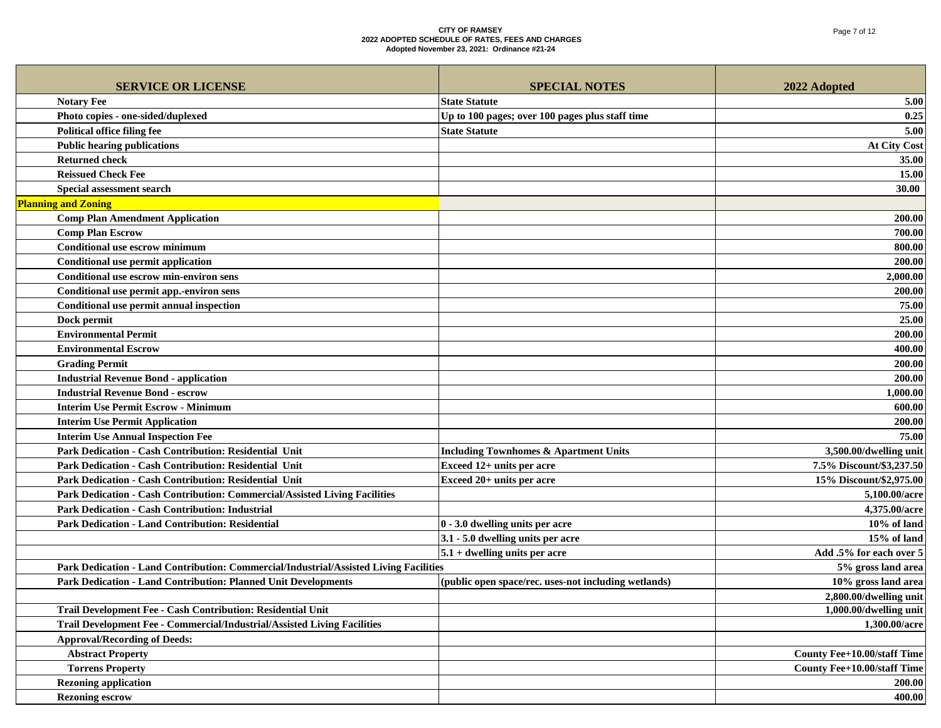| <b>SERVICE OR LICENSE</b>                                                             | <b>SPECIAL NOTES</b>                                 | 2022 Adopted                       |
|---------------------------------------------------------------------------------------|------------------------------------------------------|------------------------------------|
| <b>Notary Fee</b>                                                                     | <b>State Statute</b>                                 | 5.00                               |
| Photo copies - one-sided/duplexed                                                     | Up to 100 pages; over 100 pages plus staff time      | 0.25                               |
| <b>Political office filing fee</b>                                                    | <b>State Statute</b>                                 | 5.00                               |
| <b>Public hearing publications</b>                                                    |                                                      | <b>At City Cost</b>                |
| <b>Returned check</b>                                                                 |                                                      | 35.00                              |
| <b>Reissued Check Fee</b>                                                             |                                                      | 15.00                              |
| Special assessment search                                                             |                                                      | 30.00                              |
| <b>Planning and Zoning</b>                                                            |                                                      |                                    |
| <b>Comp Plan Amendment Application</b>                                                |                                                      | 200.00                             |
| <b>Comp Plan Escrow</b>                                                               |                                                      | 700.00                             |
| <b>Conditional use escrow minimum</b>                                                 |                                                      | 800.00                             |
| Conditional use permit application                                                    |                                                      | 200.00                             |
| Conditional use escrow min-environ sens                                               |                                                      | 2,000.00                           |
| Conditional use permit app.-environ sens                                              |                                                      | 200.00                             |
| Conditional use permit annual inspection                                              |                                                      | 75.00                              |
| Dock permit                                                                           |                                                      | 25.00                              |
| <b>Environmental Permit</b>                                                           |                                                      | 200.00                             |
| <b>Environmental Escrow</b>                                                           |                                                      | 400.00                             |
| <b>Grading Permit</b>                                                                 |                                                      | 200.00                             |
| <b>Industrial Revenue Bond - application</b>                                          |                                                      | 200.00                             |
| <b>Industrial Revenue Bond - escrow</b>                                               |                                                      | 1,000.00                           |
| <b>Interim Use Permit Escrow - Minimum</b>                                            |                                                      | 600.00                             |
| <b>Interim Use Permit Application</b>                                                 |                                                      | 200.00                             |
| <b>Interim Use Annual Inspection Fee</b>                                              |                                                      | 75.00                              |
| Park Dedication - Cash Contribution: Residential Unit                                 | <b>Including Townhomes &amp; Apartment Units</b>     | 3,500.00/dwelling unit             |
| Park Dedication - Cash Contribution: Residential Unit                                 | Exceed 12+ units per acre                            | 7.5% Discount/\$3,237.50           |
| Park Dedication - Cash Contribution: Residential Unit                                 | Exceed 20+ units per acre                            | 15% Discount/\$2,975.00            |
| Park Dedication - Cash Contribution: Commercial/Assisted Living Facilities            |                                                      | 5,100.00/acre                      |
| <b>Park Dedication - Cash Contribution: Industrial</b>                                |                                                      | 4,375.00/acre                      |
| <b>Park Dedication - Land Contribution: Residential</b>                               | 0 - 3.0 dwelling units per acre                      | 10% of land                        |
|                                                                                       | 3.1 - 5.0 dwelling units per acre                    | 15% of land                        |
|                                                                                       | $5.1 +$ dwelling units per acre                      | Add .5% for each over 5            |
| Park Dedication - Land Contribution: Commercial/Industrial/Assisted Living Facilities |                                                      | 5% gross land area                 |
| Park Dedication - Land Contribution: Planned Unit Developments                        | (public open space/rec. uses-not including wetlands) | 10% gross land area                |
|                                                                                       |                                                      | 2,800.00/dwelling unit             |
| Trail Development Fee - Cash Contribution: Residential Unit                           |                                                      | 1,000.00/dwelling unit             |
| Trail Development Fee - Commercial/Industrial/Assisted Living Facilities              |                                                      | 1,300.00/acre                      |
| <b>Approval/Recording of Deeds:</b>                                                   |                                                      |                                    |
| <b>Abstract Property</b>                                                              |                                                      | <b>County Fee+10.00/staff Time</b> |
| <b>Torrens Property</b>                                                               |                                                      | <b>County Fee+10.00/staff Time</b> |
| <b>Rezoning application</b>                                                           |                                                      | 200.00                             |
| <b>Rezoning escrow</b>                                                                |                                                      | 400.00                             |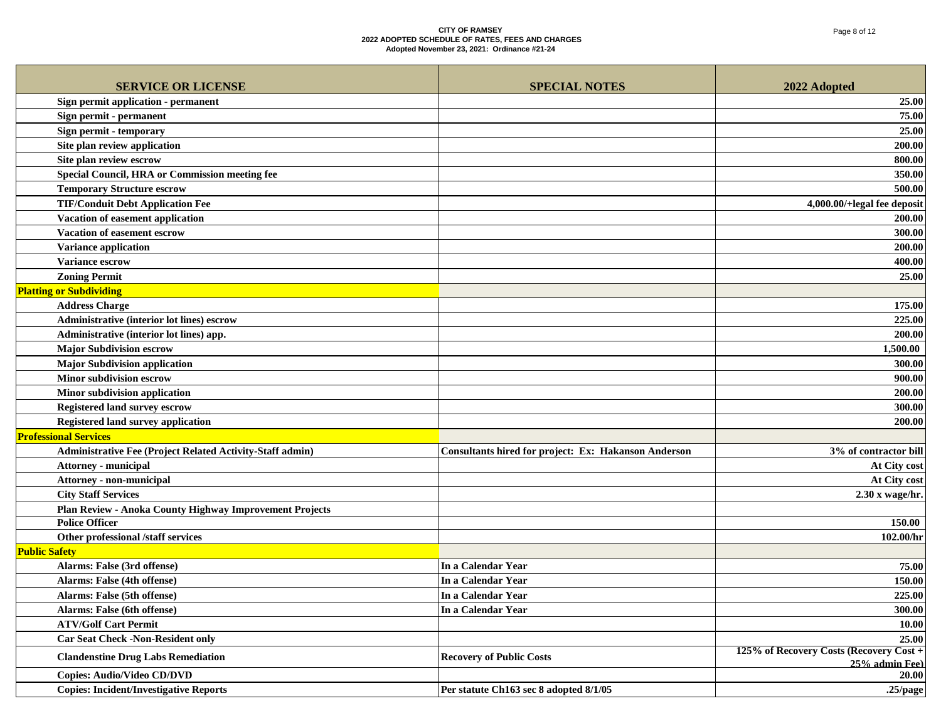| <b>SERVICE OR LICENSE</b>                                 | <b>SPECIAL NOTES</b>                                        | 2022 Adopted                                              |
|-----------------------------------------------------------|-------------------------------------------------------------|-----------------------------------------------------------|
| Sign permit application - permanent                       |                                                             | 25.00                                                     |
| Sign permit - permanent                                   |                                                             | 75.00                                                     |
| Sign permit - temporary                                   |                                                             | 25.00                                                     |
| Site plan review application                              |                                                             | 200.00                                                    |
| Site plan review escrow                                   |                                                             | 800.00                                                    |
| Special Council, HRA or Commission meeting fee            |                                                             | 350.00                                                    |
| <b>Temporary Structure escrow</b>                         |                                                             | 500.00                                                    |
| <b>TIF/Conduit Debt Application Fee</b>                   |                                                             | 4,000.00/+legal fee deposit                               |
| Vacation of easement application                          |                                                             | 200.00                                                    |
| Vacation of easement escrow                               |                                                             | 300.00                                                    |
| <b>Variance application</b>                               |                                                             | 200.00                                                    |
| <b>Variance escrow</b>                                    |                                                             | 400.00                                                    |
| <b>Zoning Permit</b>                                      |                                                             | 25.00                                                     |
| <b>Platting or Subdividing</b>                            |                                                             |                                                           |
| <b>Address Charge</b>                                     |                                                             | 175.00                                                    |
| Administrative (interior lot lines) escrow                |                                                             | 225.00                                                    |
| Administrative (interior lot lines) app.                  |                                                             | 200.00                                                    |
| <b>Major Subdivision escrow</b>                           |                                                             | 1,500.00                                                  |
| <b>Major Subdivision application</b>                      |                                                             | 300.00                                                    |
| <b>Minor subdivision escrow</b>                           |                                                             | 900.00                                                    |
| Minor subdivision application                             |                                                             | 200.00                                                    |
| <b>Registered land survey escrow</b>                      |                                                             | 300.00                                                    |
| <b>Registered land survey application</b>                 |                                                             | 200.00                                                    |
| <b>Professional Services</b>                              |                                                             |                                                           |
| Administrative Fee (Project Related Activity-Staff admin) | <b>Consultants hired for project: Ex: Hakanson Anderson</b> | 3% of contractor bill                                     |
| <b>Attorney - municipal</b>                               |                                                             | At City cost                                              |
| Attorney - non-municipal                                  |                                                             | At City cost                                              |
| <b>City Staff Services</b>                                |                                                             | 2.30 x wage/hr.                                           |
| Plan Review - Anoka County Highway Improvement Projects   |                                                             |                                                           |
| <b>Police Officer</b>                                     |                                                             | 150.00                                                    |
| Other professional /staff services                        |                                                             | 102.00/hr                                                 |
| <b>Public Safety</b>                                      |                                                             |                                                           |
| Alarms: False (3rd offense)                               | In a Calendar Year                                          | 75.00                                                     |
| Alarms: False (4th offense)                               | In a Calendar Year                                          | 150.00                                                    |
| Alarms: False (5th offense)                               | In a Calendar Year                                          | 225.00                                                    |
| Alarms: False (6th offense)                               | <b>In a Calendar Year</b>                                   | 300.00                                                    |
| <b>ATV/Golf Cart Permit</b>                               |                                                             | 10.00                                                     |
| <b>Car Seat Check -Non-Resident only</b>                  |                                                             | 25.00                                                     |
| <b>Clandenstine Drug Labs Remediation</b>                 | <b>Recovery of Public Costs</b>                             | 125% of Recovery Costs (Recovery Cost +<br>25% admin Fee) |
| <b>Copies: Audio/Video CD/DVD</b>                         |                                                             | 20.00                                                     |
| <b>Copies: Incident/Investigative Reports</b>             | Per statute Ch163 sec 8 adopted 8/1/05                      | $.25$ /page                                               |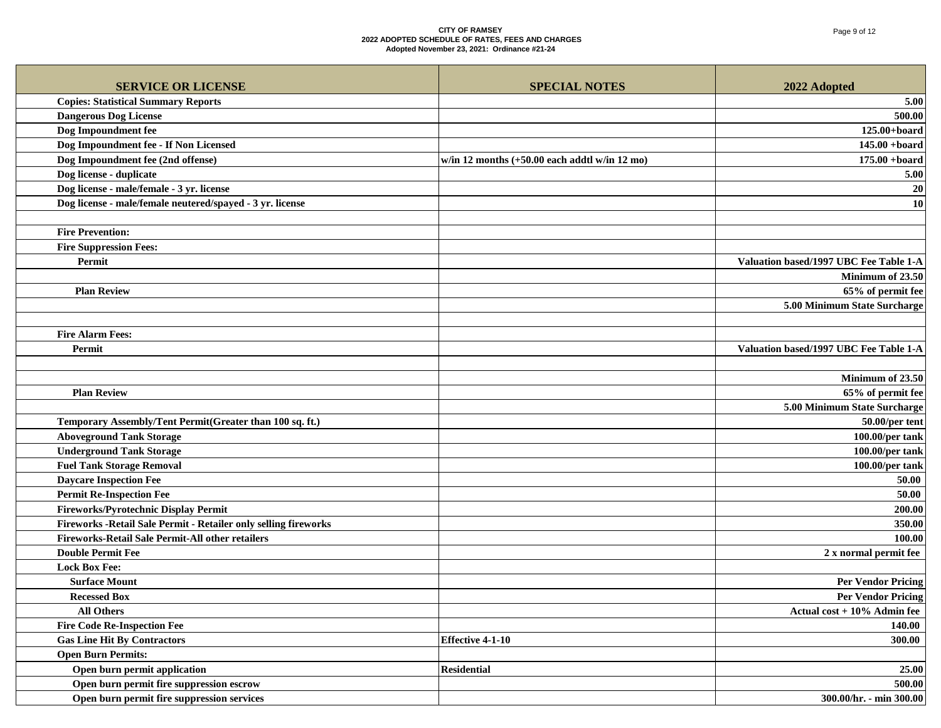| <b>SERVICE OR LICENSE</b><br><b>SPECIAL NOTES</b><br>2022 Adopted<br><b>Copies: Statistical Summary Reports</b><br>5.00<br><b>Dangerous Dog License</b><br>500.00<br>Dog Impoundment fee<br>$125.00 + board$<br>Dog Impoundment fee - If Non Licensed<br>$145.00 + board$<br>$175.00 + board$<br>Dog Impoundment fee (2nd offense)<br>w/in 12 months $(+50.00$ each addtl w/in 12 mo)<br>Dog license - duplicate<br>5.00<br>Dog license - male/female - 3 yr. license<br>$20\,$<br>Dog license - male/female neutered/spayed - 3 yr. license<br>10<br><b>Fire Prevention:</b><br><b>Fire Suppression Fees:</b><br>Permit<br>Valuation based/1997 UBC Fee Table 1-A<br>Minimum of 23.50<br>65% of permit fee<br><b>Plan Review</b><br>5.00 Minimum State Surcharge<br><b>Fire Alarm Fees:</b><br>Valuation based/1997 UBC Fee Table 1-A<br>Permit<br>Minimum of 23.50<br>65% of permit fee<br><b>Plan Review</b><br>5.00 Minimum State Surcharge<br>Temporary Assembly/Tent Permit(Greater than 100 sq. ft.)<br>50.00/per tent<br><b>Aboveground Tank Storage</b><br>100.00/per tank<br><b>Underground Tank Storage</b><br>100.00/per tank<br><b>Fuel Tank Storage Removal</b><br>100.00/per tank<br><b>Daycare Inspection Fee</b><br>50.00<br><b>Permit Re-Inspection Fee</b><br>50.00<br>Fireworks/Pyrotechnic Display Permit<br>200.00<br>Fireworks - Retail Sale Permit - Retailer only selling fireworks<br>350.00<br>Fireworks-Retail Sale Permit-All other retailers<br>100.00<br><b>Double Permit Fee</b><br>2 x normal permit fee<br><b>Lock Box Fee:</b><br><b>Per Vendor Pricing</b><br><b>Surface Mount</b><br><b>Per Vendor Pricing</b><br><b>Recessed Box</b><br><b>All Others</b><br>Actual $cost + 10\%$ Admin fee<br><b>Fire Code Re-Inspection Fee</b><br>140.00<br><b>Gas Line Hit By Contractors</b><br><b>Effective 4-1-10</b><br>300.00<br><b>Open Burn Permits:</b><br>Open burn permit application<br><b>Residential</b><br>25.00<br>Open burn permit fire suppression escrow<br>500.00 |                                            |                         |
|----------------------------------------------------------------------------------------------------------------------------------------------------------------------------------------------------------------------------------------------------------------------------------------------------------------------------------------------------------------------------------------------------------------------------------------------------------------------------------------------------------------------------------------------------------------------------------------------------------------------------------------------------------------------------------------------------------------------------------------------------------------------------------------------------------------------------------------------------------------------------------------------------------------------------------------------------------------------------------------------------------------------------------------------------------------------------------------------------------------------------------------------------------------------------------------------------------------------------------------------------------------------------------------------------------------------------------------------------------------------------------------------------------------------------------------------------------------------------------------------------------------------------------------------------------------------------------------------------------------------------------------------------------------------------------------------------------------------------------------------------------------------------------------------------------------------------------------------------------------------------------------------------------------------------------------------------------------------------------------------------------------|--------------------------------------------|-------------------------|
|                                                                                                                                                                                                                                                                                                                                                                                                                                                                                                                                                                                                                                                                                                                                                                                                                                                                                                                                                                                                                                                                                                                                                                                                                                                                                                                                                                                                                                                                                                                                                                                                                                                                                                                                                                                                                                                                                                                                                                                                                |                                            |                         |
|                                                                                                                                                                                                                                                                                                                                                                                                                                                                                                                                                                                                                                                                                                                                                                                                                                                                                                                                                                                                                                                                                                                                                                                                                                                                                                                                                                                                                                                                                                                                                                                                                                                                                                                                                                                                                                                                                                                                                                                                                |                                            |                         |
|                                                                                                                                                                                                                                                                                                                                                                                                                                                                                                                                                                                                                                                                                                                                                                                                                                                                                                                                                                                                                                                                                                                                                                                                                                                                                                                                                                                                                                                                                                                                                                                                                                                                                                                                                                                                                                                                                                                                                                                                                |                                            |                         |
|                                                                                                                                                                                                                                                                                                                                                                                                                                                                                                                                                                                                                                                                                                                                                                                                                                                                                                                                                                                                                                                                                                                                                                                                                                                                                                                                                                                                                                                                                                                                                                                                                                                                                                                                                                                                                                                                                                                                                                                                                |                                            |                         |
|                                                                                                                                                                                                                                                                                                                                                                                                                                                                                                                                                                                                                                                                                                                                                                                                                                                                                                                                                                                                                                                                                                                                                                                                                                                                                                                                                                                                                                                                                                                                                                                                                                                                                                                                                                                                                                                                                                                                                                                                                |                                            |                         |
|                                                                                                                                                                                                                                                                                                                                                                                                                                                                                                                                                                                                                                                                                                                                                                                                                                                                                                                                                                                                                                                                                                                                                                                                                                                                                                                                                                                                                                                                                                                                                                                                                                                                                                                                                                                                                                                                                                                                                                                                                |                                            |                         |
|                                                                                                                                                                                                                                                                                                                                                                                                                                                                                                                                                                                                                                                                                                                                                                                                                                                                                                                                                                                                                                                                                                                                                                                                                                                                                                                                                                                                                                                                                                                                                                                                                                                                                                                                                                                                                                                                                                                                                                                                                |                                            |                         |
|                                                                                                                                                                                                                                                                                                                                                                                                                                                                                                                                                                                                                                                                                                                                                                                                                                                                                                                                                                                                                                                                                                                                                                                                                                                                                                                                                                                                                                                                                                                                                                                                                                                                                                                                                                                                                                                                                                                                                                                                                |                                            |                         |
|                                                                                                                                                                                                                                                                                                                                                                                                                                                                                                                                                                                                                                                                                                                                                                                                                                                                                                                                                                                                                                                                                                                                                                                                                                                                                                                                                                                                                                                                                                                                                                                                                                                                                                                                                                                                                                                                                                                                                                                                                |                                            |                         |
|                                                                                                                                                                                                                                                                                                                                                                                                                                                                                                                                                                                                                                                                                                                                                                                                                                                                                                                                                                                                                                                                                                                                                                                                                                                                                                                                                                                                                                                                                                                                                                                                                                                                                                                                                                                                                                                                                                                                                                                                                |                                            |                         |
|                                                                                                                                                                                                                                                                                                                                                                                                                                                                                                                                                                                                                                                                                                                                                                                                                                                                                                                                                                                                                                                                                                                                                                                                                                                                                                                                                                                                                                                                                                                                                                                                                                                                                                                                                                                                                                                                                                                                                                                                                |                                            |                         |
|                                                                                                                                                                                                                                                                                                                                                                                                                                                                                                                                                                                                                                                                                                                                                                                                                                                                                                                                                                                                                                                                                                                                                                                                                                                                                                                                                                                                                                                                                                                                                                                                                                                                                                                                                                                                                                                                                                                                                                                                                |                                            |                         |
|                                                                                                                                                                                                                                                                                                                                                                                                                                                                                                                                                                                                                                                                                                                                                                                                                                                                                                                                                                                                                                                                                                                                                                                                                                                                                                                                                                                                                                                                                                                                                                                                                                                                                                                                                                                                                                                                                                                                                                                                                |                                            |                         |
|                                                                                                                                                                                                                                                                                                                                                                                                                                                                                                                                                                                                                                                                                                                                                                                                                                                                                                                                                                                                                                                                                                                                                                                                                                                                                                                                                                                                                                                                                                                                                                                                                                                                                                                                                                                                                                                                                                                                                                                                                |                                            |                         |
|                                                                                                                                                                                                                                                                                                                                                                                                                                                                                                                                                                                                                                                                                                                                                                                                                                                                                                                                                                                                                                                                                                                                                                                                                                                                                                                                                                                                                                                                                                                                                                                                                                                                                                                                                                                                                                                                                                                                                                                                                |                                            |                         |
|                                                                                                                                                                                                                                                                                                                                                                                                                                                                                                                                                                                                                                                                                                                                                                                                                                                                                                                                                                                                                                                                                                                                                                                                                                                                                                                                                                                                                                                                                                                                                                                                                                                                                                                                                                                                                                                                                                                                                                                                                |                                            |                         |
|                                                                                                                                                                                                                                                                                                                                                                                                                                                                                                                                                                                                                                                                                                                                                                                                                                                                                                                                                                                                                                                                                                                                                                                                                                                                                                                                                                                                                                                                                                                                                                                                                                                                                                                                                                                                                                                                                                                                                                                                                |                                            |                         |
|                                                                                                                                                                                                                                                                                                                                                                                                                                                                                                                                                                                                                                                                                                                                                                                                                                                                                                                                                                                                                                                                                                                                                                                                                                                                                                                                                                                                                                                                                                                                                                                                                                                                                                                                                                                                                                                                                                                                                                                                                |                                            |                         |
|                                                                                                                                                                                                                                                                                                                                                                                                                                                                                                                                                                                                                                                                                                                                                                                                                                                                                                                                                                                                                                                                                                                                                                                                                                                                                                                                                                                                                                                                                                                                                                                                                                                                                                                                                                                                                                                                                                                                                                                                                |                                            |                         |
|                                                                                                                                                                                                                                                                                                                                                                                                                                                                                                                                                                                                                                                                                                                                                                                                                                                                                                                                                                                                                                                                                                                                                                                                                                                                                                                                                                                                                                                                                                                                                                                                                                                                                                                                                                                                                                                                                                                                                                                                                |                                            |                         |
|                                                                                                                                                                                                                                                                                                                                                                                                                                                                                                                                                                                                                                                                                                                                                                                                                                                                                                                                                                                                                                                                                                                                                                                                                                                                                                                                                                                                                                                                                                                                                                                                                                                                                                                                                                                                                                                                                                                                                                                                                |                                            |                         |
|                                                                                                                                                                                                                                                                                                                                                                                                                                                                                                                                                                                                                                                                                                                                                                                                                                                                                                                                                                                                                                                                                                                                                                                                                                                                                                                                                                                                                                                                                                                                                                                                                                                                                                                                                                                                                                                                                                                                                                                                                |                                            |                         |
|                                                                                                                                                                                                                                                                                                                                                                                                                                                                                                                                                                                                                                                                                                                                                                                                                                                                                                                                                                                                                                                                                                                                                                                                                                                                                                                                                                                                                                                                                                                                                                                                                                                                                                                                                                                                                                                                                                                                                                                                                |                                            |                         |
|                                                                                                                                                                                                                                                                                                                                                                                                                                                                                                                                                                                                                                                                                                                                                                                                                                                                                                                                                                                                                                                                                                                                                                                                                                                                                                                                                                                                                                                                                                                                                                                                                                                                                                                                                                                                                                                                                                                                                                                                                |                                            |                         |
|                                                                                                                                                                                                                                                                                                                                                                                                                                                                                                                                                                                                                                                                                                                                                                                                                                                                                                                                                                                                                                                                                                                                                                                                                                                                                                                                                                                                                                                                                                                                                                                                                                                                                                                                                                                                                                                                                                                                                                                                                |                                            |                         |
|                                                                                                                                                                                                                                                                                                                                                                                                                                                                                                                                                                                                                                                                                                                                                                                                                                                                                                                                                                                                                                                                                                                                                                                                                                                                                                                                                                                                                                                                                                                                                                                                                                                                                                                                                                                                                                                                                                                                                                                                                |                                            |                         |
|                                                                                                                                                                                                                                                                                                                                                                                                                                                                                                                                                                                                                                                                                                                                                                                                                                                                                                                                                                                                                                                                                                                                                                                                                                                                                                                                                                                                                                                                                                                                                                                                                                                                                                                                                                                                                                                                                                                                                                                                                |                                            |                         |
|                                                                                                                                                                                                                                                                                                                                                                                                                                                                                                                                                                                                                                                                                                                                                                                                                                                                                                                                                                                                                                                                                                                                                                                                                                                                                                                                                                                                                                                                                                                                                                                                                                                                                                                                                                                                                                                                                                                                                                                                                |                                            |                         |
|                                                                                                                                                                                                                                                                                                                                                                                                                                                                                                                                                                                                                                                                                                                                                                                                                                                                                                                                                                                                                                                                                                                                                                                                                                                                                                                                                                                                                                                                                                                                                                                                                                                                                                                                                                                                                                                                                                                                                                                                                |                                            |                         |
|                                                                                                                                                                                                                                                                                                                                                                                                                                                                                                                                                                                                                                                                                                                                                                                                                                                                                                                                                                                                                                                                                                                                                                                                                                                                                                                                                                                                                                                                                                                                                                                                                                                                                                                                                                                                                                                                                                                                                                                                                |                                            |                         |
|                                                                                                                                                                                                                                                                                                                                                                                                                                                                                                                                                                                                                                                                                                                                                                                                                                                                                                                                                                                                                                                                                                                                                                                                                                                                                                                                                                                                                                                                                                                                                                                                                                                                                                                                                                                                                                                                                                                                                                                                                |                                            |                         |
|                                                                                                                                                                                                                                                                                                                                                                                                                                                                                                                                                                                                                                                                                                                                                                                                                                                                                                                                                                                                                                                                                                                                                                                                                                                                                                                                                                                                                                                                                                                                                                                                                                                                                                                                                                                                                                                                                                                                                                                                                |                                            |                         |
|                                                                                                                                                                                                                                                                                                                                                                                                                                                                                                                                                                                                                                                                                                                                                                                                                                                                                                                                                                                                                                                                                                                                                                                                                                                                                                                                                                                                                                                                                                                                                                                                                                                                                                                                                                                                                                                                                                                                                                                                                |                                            |                         |
|                                                                                                                                                                                                                                                                                                                                                                                                                                                                                                                                                                                                                                                                                                                                                                                                                                                                                                                                                                                                                                                                                                                                                                                                                                                                                                                                                                                                                                                                                                                                                                                                                                                                                                                                                                                                                                                                                                                                                                                                                |                                            |                         |
|                                                                                                                                                                                                                                                                                                                                                                                                                                                                                                                                                                                                                                                                                                                                                                                                                                                                                                                                                                                                                                                                                                                                                                                                                                                                                                                                                                                                                                                                                                                                                                                                                                                                                                                                                                                                                                                                                                                                                                                                                |                                            |                         |
|                                                                                                                                                                                                                                                                                                                                                                                                                                                                                                                                                                                                                                                                                                                                                                                                                                                                                                                                                                                                                                                                                                                                                                                                                                                                                                                                                                                                                                                                                                                                                                                                                                                                                                                                                                                                                                                                                                                                                                                                                |                                            |                         |
|                                                                                                                                                                                                                                                                                                                                                                                                                                                                                                                                                                                                                                                                                                                                                                                                                                                                                                                                                                                                                                                                                                                                                                                                                                                                                                                                                                                                                                                                                                                                                                                                                                                                                                                                                                                                                                                                                                                                                                                                                |                                            |                         |
|                                                                                                                                                                                                                                                                                                                                                                                                                                                                                                                                                                                                                                                                                                                                                                                                                                                                                                                                                                                                                                                                                                                                                                                                                                                                                                                                                                                                                                                                                                                                                                                                                                                                                                                                                                                                                                                                                                                                                                                                                |                                            |                         |
|                                                                                                                                                                                                                                                                                                                                                                                                                                                                                                                                                                                                                                                                                                                                                                                                                                                                                                                                                                                                                                                                                                                                                                                                                                                                                                                                                                                                                                                                                                                                                                                                                                                                                                                                                                                                                                                                                                                                                                                                                |                                            |                         |
|                                                                                                                                                                                                                                                                                                                                                                                                                                                                                                                                                                                                                                                                                                                                                                                                                                                                                                                                                                                                                                                                                                                                                                                                                                                                                                                                                                                                                                                                                                                                                                                                                                                                                                                                                                                                                                                                                                                                                                                                                |                                            |                         |
|                                                                                                                                                                                                                                                                                                                                                                                                                                                                                                                                                                                                                                                                                                                                                                                                                                                                                                                                                                                                                                                                                                                                                                                                                                                                                                                                                                                                                                                                                                                                                                                                                                                                                                                                                                                                                                                                                                                                                                                                                |                                            |                         |
|                                                                                                                                                                                                                                                                                                                                                                                                                                                                                                                                                                                                                                                                                                                                                                                                                                                                                                                                                                                                                                                                                                                                                                                                                                                                                                                                                                                                                                                                                                                                                                                                                                                                                                                                                                                                                                                                                                                                                                                                                |                                            |                         |
|                                                                                                                                                                                                                                                                                                                                                                                                                                                                                                                                                                                                                                                                                                                                                                                                                                                                                                                                                                                                                                                                                                                                                                                                                                                                                                                                                                                                                                                                                                                                                                                                                                                                                                                                                                                                                                                                                                                                                                                                                | Open burn permit fire suppression services | 300.00/hr. - min 300.00 |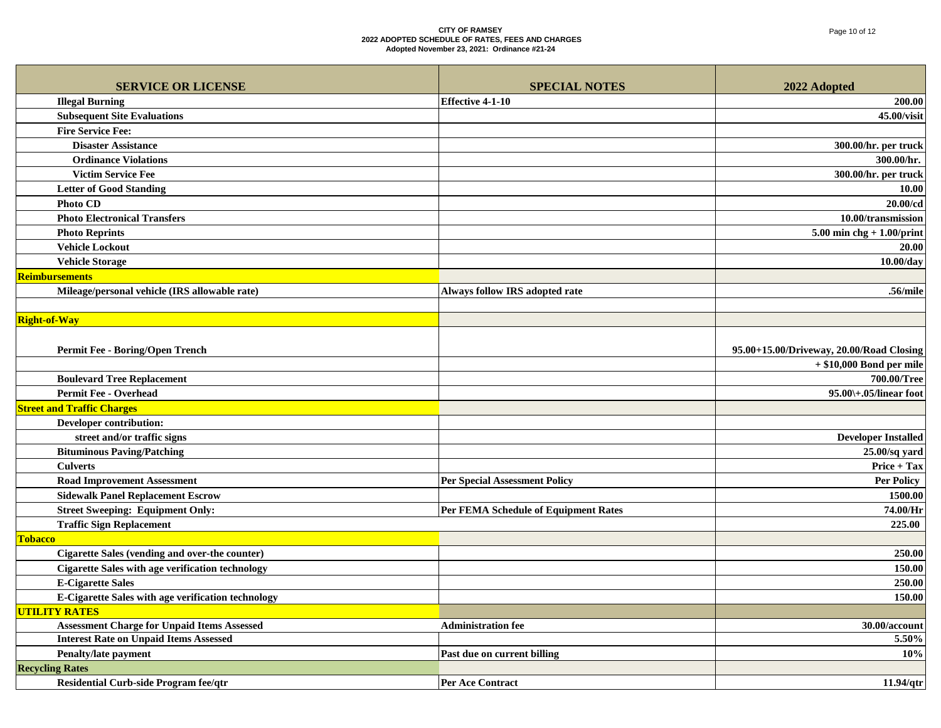| <b>SERVICE OR LICENSE</b>                                 | <b>SPECIAL NOTES</b>                 | 2022 Adopted                             |
|-----------------------------------------------------------|--------------------------------------|------------------------------------------|
| <b>Illegal Burning</b>                                    | <b>Effective 4-1-10</b>              | 200.00                                   |
| <b>Subsequent Site Evaluations</b>                        |                                      | 45.00/visit                              |
| <b>Fire Service Fee:</b>                                  |                                      |                                          |
| <b>Disaster Assistance</b>                                |                                      | 300.00/hr. per truck                     |
| <b>Ordinance Violations</b>                               |                                      | 300.00/hr.                               |
| <b>Victim Service Fee</b>                                 |                                      | 300.00/hr. per truck                     |
| <b>Letter of Good Standing</b>                            |                                      | 10.00                                    |
| <b>Photo CD</b>                                           |                                      | 20.00/cd                                 |
| <b>Photo Electronical Transfers</b>                       |                                      | 10.00/transmission                       |
| <b>Photo Reprints</b>                                     |                                      | $5.00$ min chg + $1.00$ /print           |
| <b>Vehicle Lockout</b>                                    |                                      | <b>20.00</b>                             |
| <b>Vehicle Storage</b>                                    |                                      | $10.00$ /day                             |
| Reimbursements                                            |                                      |                                          |
| Mileage/personal vehicle (IRS allowable rate)             | Always follow IRS adopted rate       | .56/mile                                 |
|                                                           |                                      |                                          |
| <b>Right-of-Way</b>                                       |                                      |                                          |
|                                                           |                                      |                                          |
| <b>Permit Fee - Boring/Open Trench</b>                    |                                      | 95.00+15.00/Driveway, 20.00/Road Closing |
|                                                           |                                      | $+$ \$10,000 Bond per mile               |
| <b>Boulevard Tree Replacement</b>                         |                                      | 700.00/Tree                              |
| <b>Permit Fee - Overhead</b>                              |                                      | $95.00\text{+}.05$ /linear foot          |
| <b>Street and Traffic Charges</b>                         |                                      |                                          |
| Developer contribution:                                   |                                      |                                          |
| street and/or traffic signs                               |                                      | <b>Developer Installed</b>               |
| <b>Bituminous Paving/Patching</b>                         |                                      | $25.00$ /sq yard                         |
| <b>Culverts</b>                                           |                                      | Price + Tax                              |
| <b>Road Improvement Assessment</b>                        | <b>Per Special Assessment Policy</b> | <b>Per Policy</b>                        |
| <b>Sidewalk Panel Replacement Escrow</b>                  |                                      | 1500.00                                  |
| <b>Street Sweeping: Equipment Only:</b>                   | Per FEMA Schedule of Equipment Rates | 74.00/Hr                                 |
| <b>Traffic Sign Replacement</b>                           |                                      | 225.00                                   |
| Tobacco                                                   |                                      |                                          |
| Cigarette Sales (vending and over-the counter)            |                                      | 250.00                                   |
| <b>Cigarette Sales with age verification technology</b>   |                                      | 150.00                                   |
| <b>E-Cigarette Sales</b>                                  |                                      | 250.00                                   |
| <b>E-Cigarette Sales with age verification technology</b> |                                      | 150.00                                   |
| <b>UTILITY RATES</b>                                      |                                      |                                          |
| <b>Assessment Charge for Unpaid Items Assessed</b>        | <b>Administration fee</b>            | 30.00/account                            |
| <b>Interest Rate on Unpaid Items Assessed</b>             |                                      | 5.50%                                    |
| <b>Penalty/late payment</b>                               | Past due on current billing          | 10%                                      |
| <b>Recycling Rates</b>                                    |                                      |                                          |
| Residential Curb-side Program fee/qtr                     | <b>Per Ace Contract</b>              | 11.94/qtr                                |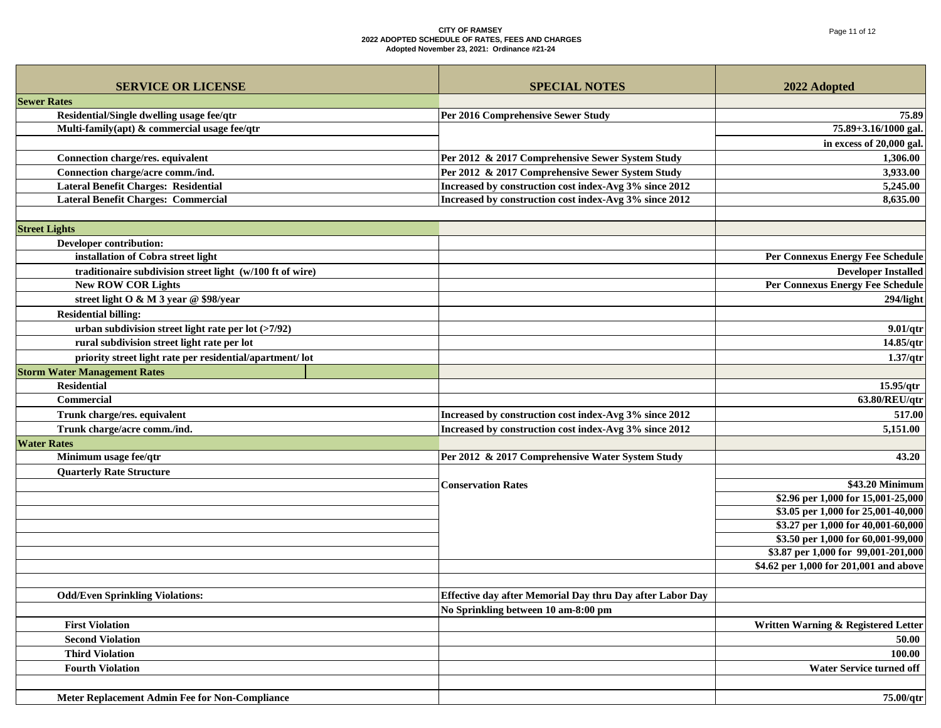| <b>SERVICE OR LICENSE</b>                                 | <b>SPECIAL NOTES</b>                                             | 2022 Adopted                                                             |
|-----------------------------------------------------------|------------------------------------------------------------------|--------------------------------------------------------------------------|
| <b>Sewer Rates</b>                                        |                                                                  |                                                                          |
| Residential/Single dwelling usage fee/qtr                 | Per 2016 Comprehensive Sewer Study                               | 75.89                                                                    |
| Multi-family(apt) & commercial usage fee/qtr              |                                                                  | 75.89+3.16/1000 gal.                                                     |
|                                                           |                                                                  | in excess of 20,000 gal.                                                 |
| Connection charge/res. equivalent                         | Per 2012 & 2017 Comprehensive Sewer System Study                 | 1,306.00                                                                 |
| Connection charge/acre comm./ind.                         | Per 2012 & 2017 Comprehensive Sewer System Study                 | 3,933.00                                                                 |
| <b>Lateral Benefit Charges: Residential</b>               | Increased by construction cost index-Avg 3% since 2012           | 5,245.00                                                                 |
| <b>Lateral Benefit Charges: Commercial</b>                | Increased by construction cost index-Avg 3% since 2012           | 8,635.00                                                                 |
|                                                           |                                                                  |                                                                          |
| <b>Street Lights</b>                                      |                                                                  |                                                                          |
| Developer contribution:                                   |                                                                  |                                                                          |
| installation of Cobra street light                        |                                                                  | <b>Per Connexus Energy Fee Schedule</b>                                  |
| traditionaire subdivision street light (w/100 ft of wire) |                                                                  | <b>Developer Installed</b>                                               |
| <b>New ROW COR Lights</b>                                 |                                                                  | Per Connexus Energy Fee Schedule                                         |
| street light O & M 3 year @ \$98/year                     |                                                                  | 294/light                                                                |
| <b>Residential billing:</b>                               |                                                                  |                                                                          |
| urban subdivision street light rate per lot $($ >7/92)    |                                                                  | 9.01/qtr                                                                 |
| rural subdivision street light rate per lot               |                                                                  | 14.85/qtr                                                                |
| priority street light rate per residential/apartment/ lot |                                                                  | 1.37/qtr                                                                 |
| <b>Storm Water Management Rates</b>                       |                                                                  |                                                                          |
| <b>Residential</b>                                        |                                                                  | 15.95/qtr                                                                |
| <b>Commercial</b>                                         |                                                                  | 63.80/REU/qtr                                                            |
| Trunk charge/res. equivalent                              | Increased by construction cost index-Avg 3% since 2012           | 517.00                                                                   |
| Trunk charge/acre comm./ind.                              | Increased by construction cost index-Avg 3% since 2012           | 5,151.00                                                                 |
| <b>Water Rates</b>                                        |                                                                  |                                                                          |
| Minimum usage fee/qtr                                     | Per 2012 & 2017 Comprehensive Water System Study                 | 43.20                                                                    |
| <b>Quarterly Rate Structure</b>                           |                                                                  |                                                                          |
|                                                           | <b>Conservation Rates</b>                                        | \$43.20 Minimum                                                          |
|                                                           |                                                                  | \$2.96 per 1,000 for 15,001-25,000<br>\$3.05 per 1,000 for 25,001-40,000 |
|                                                           |                                                                  | \$3.27 per 1,000 for 40,001-60,000                                       |
|                                                           |                                                                  | \$3.50 per 1,000 for 60,001-99,000                                       |
|                                                           |                                                                  | \$3.87 per 1,000 for 99,001-201,000                                      |
|                                                           |                                                                  | \$4.62 per 1,000 for 201,001 and above                                   |
|                                                           |                                                                  |                                                                          |
| <b>Odd/Even Sprinkling Violations:</b>                    | <b>Effective day after Memorial Day thru Day after Labor Day</b> |                                                                          |
|                                                           | No Sprinkling between 10 am-8:00 pm                              |                                                                          |
| <b>First Violation</b>                                    |                                                                  | Written Warning & Registered Letter                                      |
| <b>Second Violation</b>                                   |                                                                  | 50.00                                                                    |
| <b>Third Violation</b>                                    |                                                                  | 100.00                                                                   |
| <b>Fourth Violation</b>                                   |                                                                  | Water Service turned off                                                 |
|                                                           |                                                                  |                                                                          |
| Meter Replacement Admin Fee for Non-Compliance            |                                                                  | 75.00/qtr                                                                |
|                                                           |                                                                  |                                                                          |